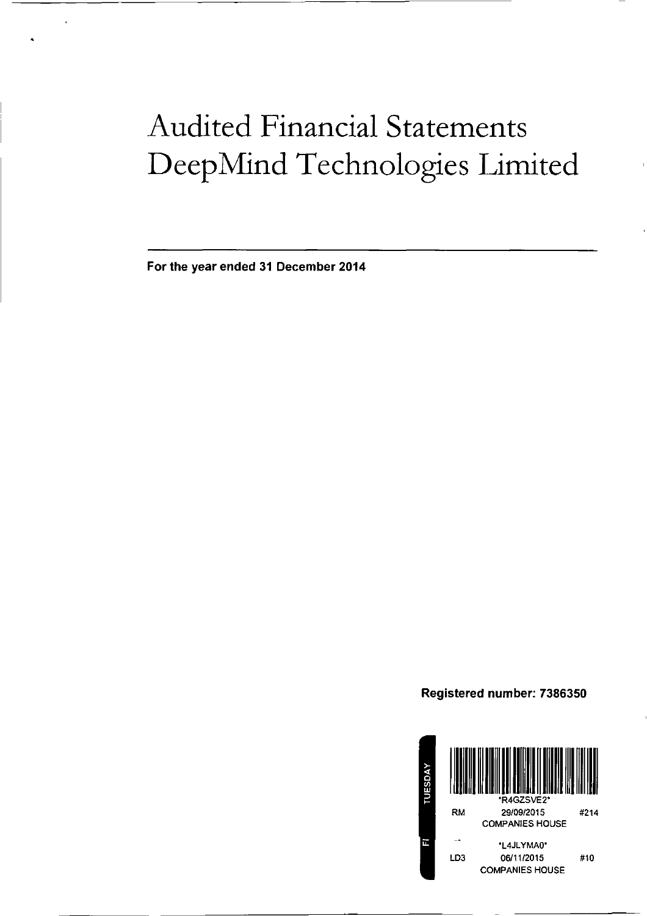# Audited Financial Statements Audited Financial Statements<br>DeepMind Technologies Limited DeepMind Technologies Limited Audited Financial Statements<br>
DeepMind Technologies Limited<br>
For the year onder 31 December 2014<br>
For the year onder 31 December 2014<br>
Registered number: 738350<br>
Registered number: 738350<br>
Registered number: 738350<br>
Regist

For the year ended 31 December 2014

<u> Andreas Andrew Andrew Andrew Andrew Andrew Andrew Andrew Andrew Andrew Andrew Andrew Andrew Andrew Andrew Andr</u>

#### Registered number: 7386350

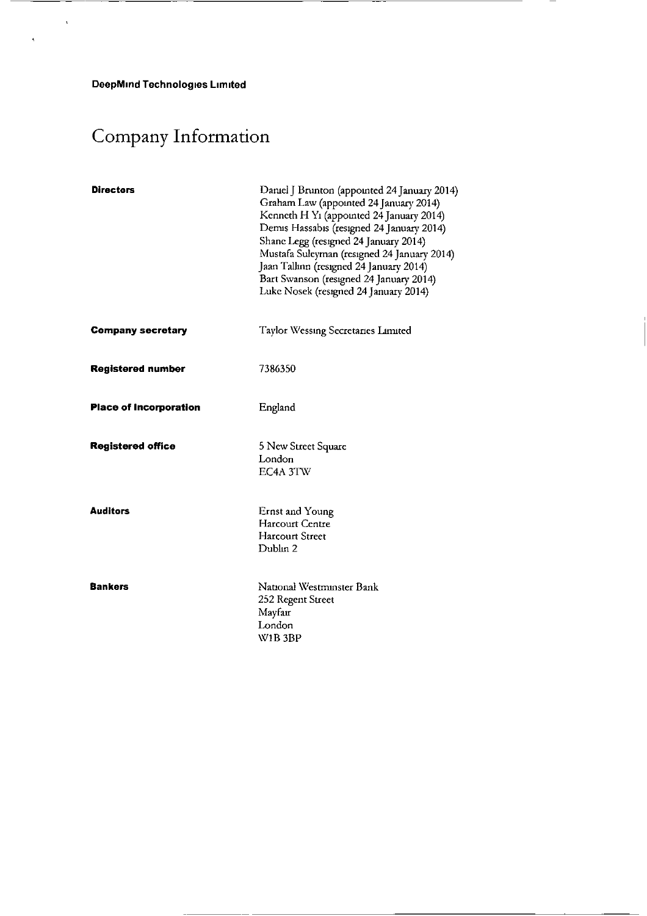$\ddot{\phantom{1}}$ 

 $\ddot{\phantom{1}}$ 

# Company Information

| <b>DeepMind Technologies Limited</b> |                                                                                                                                                                                                                                                                                                                                                                                                        |
|--------------------------------------|--------------------------------------------------------------------------------------------------------------------------------------------------------------------------------------------------------------------------------------------------------------------------------------------------------------------------------------------------------------------------------------------------------|
|                                      |                                                                                                                                                                                                                                                                                                                                                                                                        |
| Company Information                  |                                                                                                                                                                                                                                                                                                                                                                                                        |
| <b>Directors</b>                     | Daniel J Brunton (appointed 24 January 2014)<br>Graham Law (appointed 24 January 2014)<br>Kenneth H Yi (appointed 24 January 2014)<br>Demis Hassabis (resigned 24 January 2014)<br>Shane Legg (resigned 24 January 2014)<br>Mustafa Suleyman (resigned 24 January 2014)<br>Jaan Tallinn (resigned 24 January 2014)<br>Bart Swanson (resigned 24 January 2014)<br>Luke Nosek (resigned 24 January 2014) |
| <b>Company secretary</b>             | Taylor Wessing Secretaries Limited                                                                                                                                                                                                                                                                                                                                                                     |
| <b>Registered number</b>             | 7386350                                                                                                                                                                                                                                                                                                                                                                                                |
| <b>Place of Incorporation</b>        | England                                                                                                                                                                                                                                                                                                                                                                                                |
| <b>Registered office</b>             | 5 New Street Square<br>London<br>EC4A 3TW                                                                                                                                                                                                                                                                                                                                                              |
| <b>Auditors</b>                      | Ernst and Young<br>Harcourt Centre<br>Harcourt Street<br>Dublin 2                                                                                                                                                                                                                                                                                                                                      |
| <b>Bankers</b>                       | National Westminster Bank<br>252 Regent Street<br>Mayfair<br>London<br>W1B 3BP                                                                                                                                                                                                                                                                                                                         |

,一个人的人都是不是一个人的人,不是一个人的人,他们的人都是不是一个人的人,而且,他们的人都是不是一个人的人,但是,他们的人都是不是一个人的人,而且,他们的人都是<br>第二百一章 一个人的人,我们的人都是不是一个人的人,我们的人都是不是一个人的人,我们的人都是不是一个人的人,我们的人都是不是一个人的人,我们的人都是不是一个人的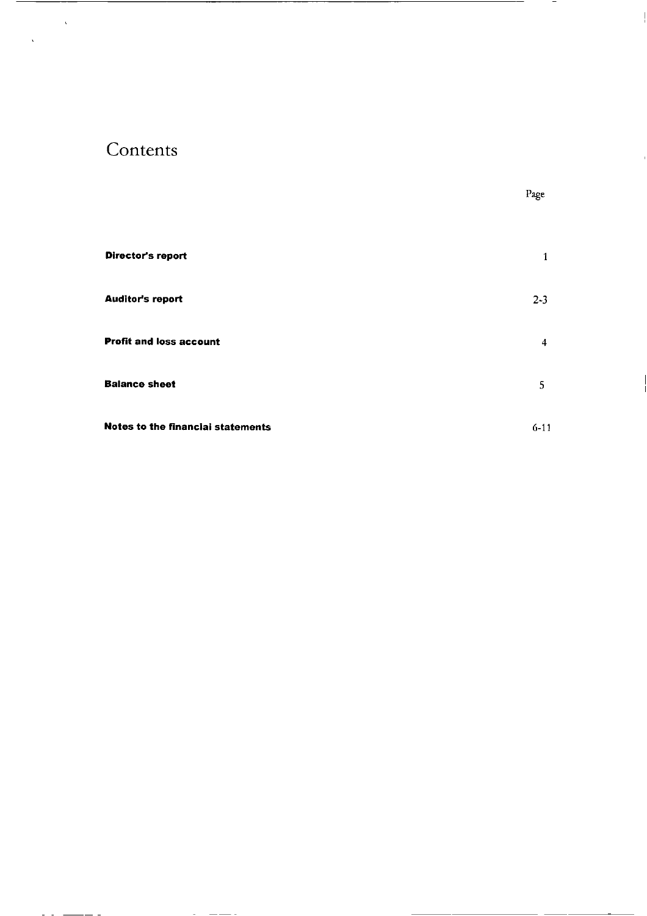# Contents

 $\bar{\mathcal{A}}$ 

 $\overline{\phantom{a}}$ 

 $\Bigl\vert$ 

| <b>Director's report</b>                 | 1        |
|------------------------------------------|----------|
| <b>Auditor's report</b>                  | $2 - 3$  |
| <b>Profit and loss account</b>           | 4        |
| <b>Balance sheet</b>                     | 5        |
| <b>Notes to the financial statements</b> | $6 - 11$ |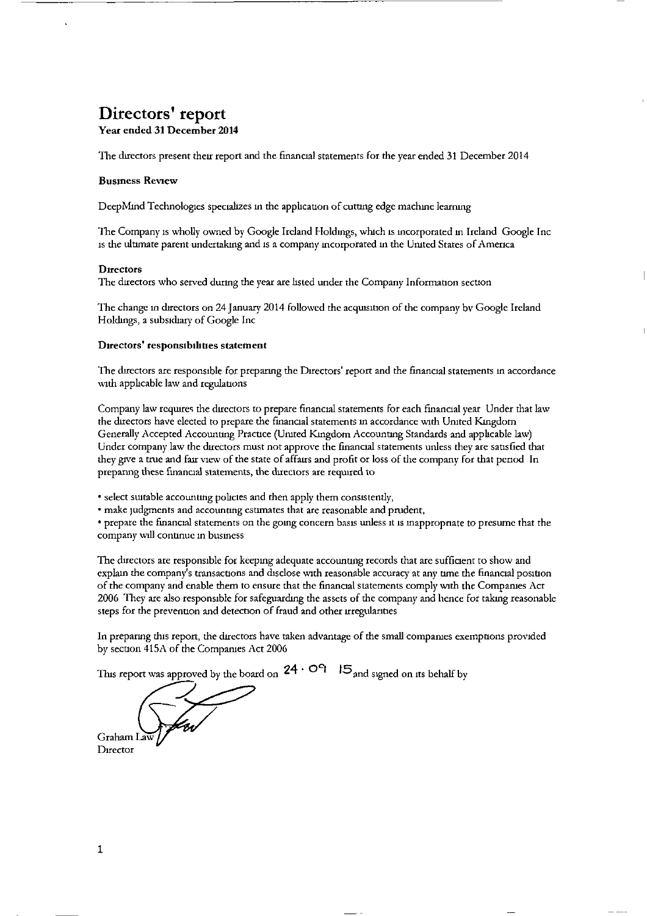# Directors' report

#### Year ended 31 December 2014

The directors present thei report and the financial statements for the year ended 31 December 2014

#### Business Review

DeepMind Technologies specializes in the application of cutting edge machine learning

The Company is wholly owned by Google Ireland Holdings, which is incorporated in Ireland Google Inc 1s the ultimate parent undertaking and is a company incorporated in the United States of America

#### $\mathbf{D}$ irectors  $\mathbf{D}$

The directors who served during the year are listed under the Company Information section

The change in directors on 24 January 2014 followed the acquisition of the company by Google Ireland Holdings, a subsidiary of Google Inc

#### Directors' responsibilities statement

The directors are responsible for preparing the Directors' report and the financial statements in accordance with applicable law and regulauons

Companylaw requires the directors to prepare financial statements for each financial year Under that law the directors have elected to prepare the financial statements in accordance with United Kingdom Generally Accepted Accounting Practice (United Kingdom Accountng Standards and applicable law) Under company law the directors must not approve the financial statements unless they are satisfied that they give a true and fair view of the state of affairs and profit or loss of the company for that period In pteparing these financial statements, the directors are required to

\* select suttable accounung policies and then apply them consistently,

\* make judgments and accounting estimatesthat are reasonable and prudent,

\* prepare the financial statements on the going concern basis unless it is mappropriate to presume that the company will continue in business

The directors are responsible for keeping adequate accounting records that are sufficient to show and explain the company's transactions and disclose with reasonable accuracyat any tume the financial position of the companyand enable them to ensurethat the financial statements comply with the Companies Act 2006 They are also responsible for safeguarding the assets of the company and hence for taking reasonable steps for the prevention and detection of fraud and other irregularities

In preparing this report, the directors have taken advantage of the small companies exemptions provided by section 415A of the Companies Act 2006

This report was approved by the board on  $24 \cdot 09$   $15$  and signed on its behalf by

 $\mathcal{D}% _{T}=\mathcal{P}_{T}\!\left( T_{1}\right) \subset\mathcal{P}_{T}$ Graham Law Director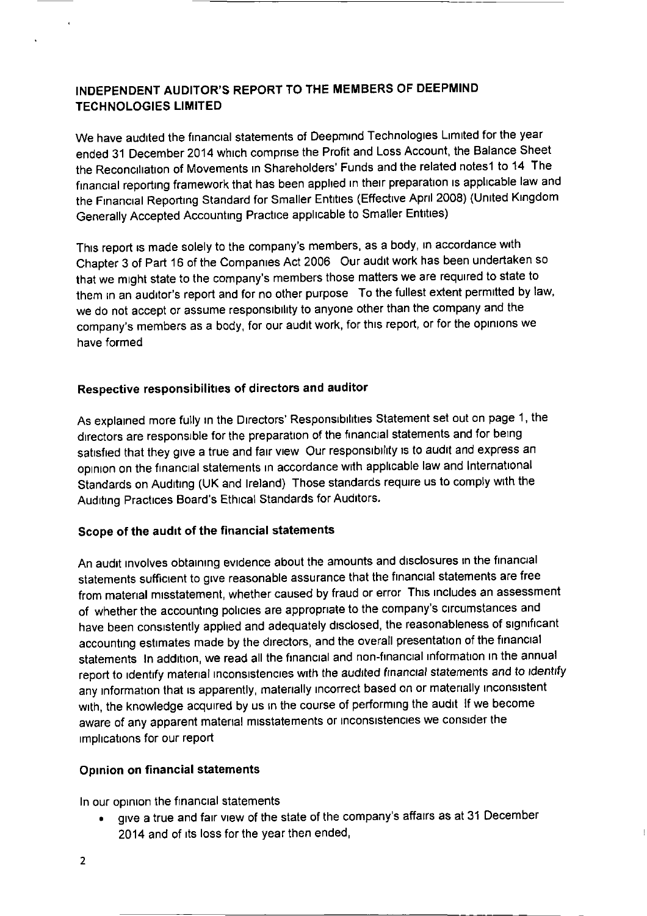# INDEPENDENT AUDITOR'S REPORT TO THE MEMBERS OF DEEPMIND TECHNOLOGIES LIMITED

We have audited the financial statements of Deepmind Technologies Limited for the year ended 31 December 2014 which comprise the Profit and Loss Account, the Balance Sheet the Reconciliation of Movements in Shareholders' Funds and the related notes1 to 14 The financial reporting framework that has been applied in their preparation is applicable law and the Financial Reporting Standard for Smaller Entities (Effective April 2008) (United Kingdom Generally Accepted Accounting Practice applicable to Smaller Entities)

This report ts made solely to the company's members, as a body, in accordance with Chapter3 of Part 16 of the Companies Act 2006 Our audit work has been undertaken so that we might state to the company's members those matters we are required to state to them in an auditor's report and for no other purpose To the fullest extent permitted by law, we do not accept or assume responsibility to anyone other than the company and the company's members as a body, for our audit work, for this report, or for the opinions we have formed

# Respective responsibilities of directors and auditor

As explained more fully in the Directors' Responsibilities Statement set out on page 1, the directors are responsible for the preparation of the financial statements and for being satisfied that they give a true and fair view Our responsibility is to audit and express an opinion on the financial statements in accordance with applicable law and International Standards on Auditing (UK and Ireland) Those standards require us to comply with the Auditing Practices Board's Ethical Standards for Auditors.

# Scope of the audit of the financial statements

An audit involves obtaining evidence about the amounts and disclosures in the financial statements sufficient to give reasonable assurance that the financial statements are free from material misstatement, whether caused by fraud or error This includes an assessment of whether the accounting policies are appropriate to the company's circumstances and have been consistently applied and adequately disclosed, the reasonableness of significant accounting estimates made by the directors, and the overall presentation of the financial statements In addition, we read all the financial and non-financial information in the annual report to identify material inconsistencies with the audited financial statements and to identify any information that is apparently, materially incorrect based on or materially inconsistent with, the knowledge acquired by us in the course of performing the audit if we become aware of any apparent material misstatements or inconsistencies we consider the Implications for our report NOENT AUDITOR'S REPORT TO THE MEMBERS OF DEEPANNO<br>CLOGIES UMITED<br>CONCIES UMITED AFFORD TO THE MEMBERS OF DEEPANNO<br>1 December 2014 which compares the Profit and Conspirate Technologies Limited for the year<br>1 December 2014 w

## Opinion on financial statements

In our opinion the financial statements

give a true and fair view of the state of the company's affairs as at 31 December 2014 and ofits loss for the year then ended,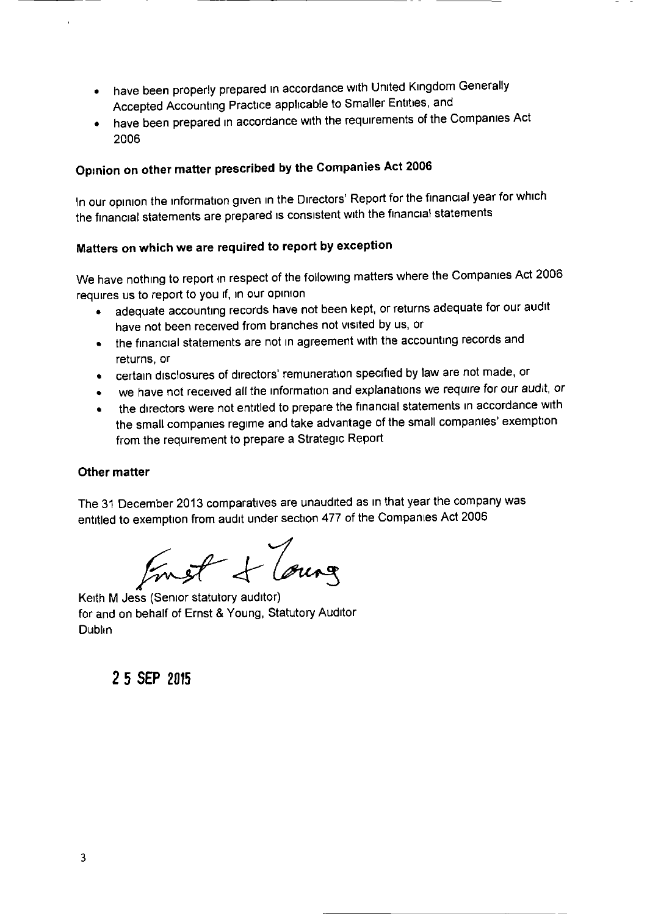- « have been properly prepared in accordance with United Kingdom Generally Accepted Accounting Practice applicable to Smaller Entities, and
- <sup>e</sup> have been prepared in accordance with the requirements of the Companies Act 2006

# Opinion on other matter prescribed by the Companies Act 2006

In our opinion the information given in the Directors' Report for the financial year for which the financial statements are prepared 1s consistent with the financial statements

# Matters on which we are required to report by exception

We have nothing to report in respect of the following matters where the Companies Act <sup>2006</sup> requires us to report to you if, in our opinion

- \* adequate accounting records have not been kept, or returns adequate for our audit have not been received from branches not visited by us, or
- \* the financial statements are not in agreement with the accounting records and returns, or
- « certain disclosures of directors' remuneration specified by law are not made, or
- we have not receivedall the information and explanations we require for our audit, or
- the directors were not entitled to prepare the financial statements in accordance with  $\bullet$ the small companres regime and take advantage of the small companies' exemption from the requirement to prepare a Strategic Report

# Other matter

The 31 December 2013 comparatives are unaudited as in that year the company was entitled to exemption from audit under section 477 of the Companies Act 2006 Example 18 in that year the company was<br>477 of the Companies Act 2006

First & Course

Keith M Jess (Senior statutory auditor) for and on behalf of Ernst & Young, Statutory Auditor Dublin

# 25 SEP <sup>2015</sup>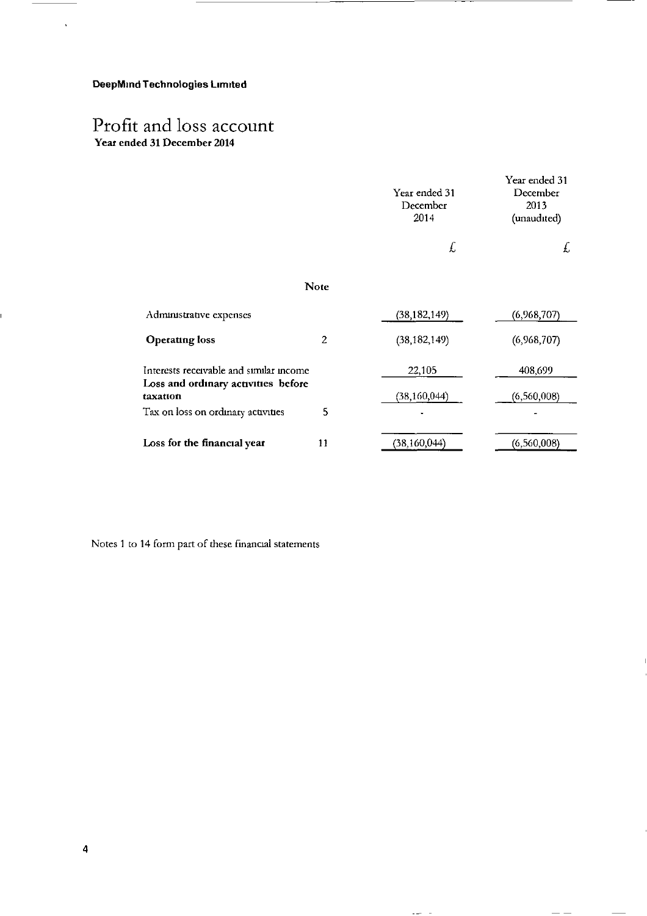$\ddot{\phantom{a}}$ 

# Profit and loss account

Year ended 31 December 2014

| <b>Ind Technologies Limited</b>                 |                |                                   |                                                  |
|-------------------------------------------------|----------------|-----------------------------------|--------------------------------------------------|
| it and loss account<br>nded 31 December 2014    |                |                                   |                                                  |
|                                                 |                | Year ended 31<br>December<br>2014 | Year ended 31<br>December<br>2013<br>(unaudited) |
|                                                 |                | L                                 | L                                                |
|                                                 | Note           |                                   |                                                  |
| Administrative expenses                         |                | (38, 182, 149)                    | (6,968,707)                                      |
| <b>Operating loss</b>                           | $\overline{c}$ | (38, 182, 149)                    | (6,968,707)                                      |
| Interests receivable and similar income         |                | 22,105                            | 408,699                                          |
| Loss and ordinary activities before<br>taxation |                | (38,160,044)                      | (6,560,008)                                      |
| Tax on loss on ordinary activities              | 5              |                                   |                                                  |
| Loss for the financial year                     | 11             | (38, 160, 044)                    | (6,560,008)                                      |
|                                                 |                |                                   |                                                  |

 $\omega_{\rm{max}} = \omega$ 

Notes <sup>1</sup> to 14 form part of these financial statements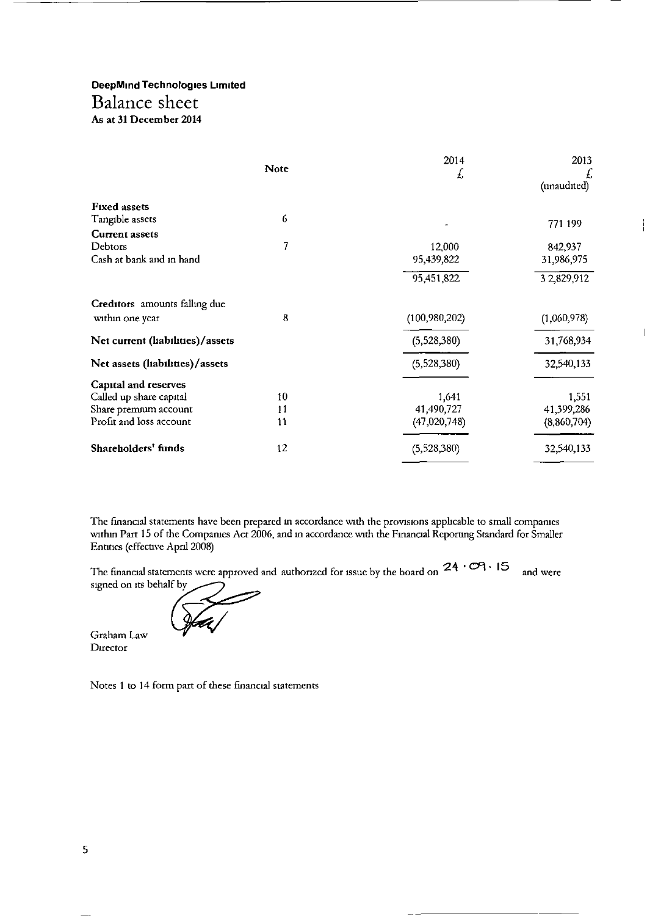# DeepMind Technologies Limited Balance sheet As at 31 December 2014

|                                  | <b>Note</b> | 2014<br>Ł       | 2013<br>Ł<br>(unaudited) |
|----------------------------------|-------------|-----------------|--------------------------|
| <b>Fixed assets</b>              |             |                 |                          |
| Tangible assets                  | 6           |                 | 771 199                  |
| <b>Current</b> assets            |             |                 |                          |
| Debtors                          | 7           | 12,000          | 842,937                  |
| Cash at bank and in hand         |             | 95,439,822      | 31,986,975               |
|                                  |             | 95,451,822      | 3 2,829,912              |
| Creditors amounts falling due    |             |                 |                          |
| within one year                  | 8           | (100, 980, 202) | (1,060,978)              |
| Net current (liabilities)/assets |             | (5,528,380)     | 31,768,934               |
| Net assets (liabilities)/assets  |             | (5,528,380)     | 32,540,133               |
| <b>Capital and reserves</b>      |             |                 |                          |
| Called up share capital          | 10          | 1,641           | 1,551                    |
| Share premium account            | 11          | 41,490,727      | 41,399,286               |
| Profit and loss account          | 11          | (47,020,748)    | (8,860,704)              |
| Shareholders' funds              | 12          | (5,528,380)     | 32,540,133               |

<u> 1999 - Andrea American American (h. 1989).</u>

The financial statements have been prepared in accordance with the provisions applicable to small companies within Part 15 of the Companies Act 2006, and in accordance with the Financial Reporting Standard for Smaller Entities (effective April 2008)

The financial statements were approved and authorized for issue by the board on  $24 \cdot$  OP  $\cdot$  15 and were signed on its behalf by

Graham Law Director

Notes <sup>1</sup> to 14 form part of these financial statements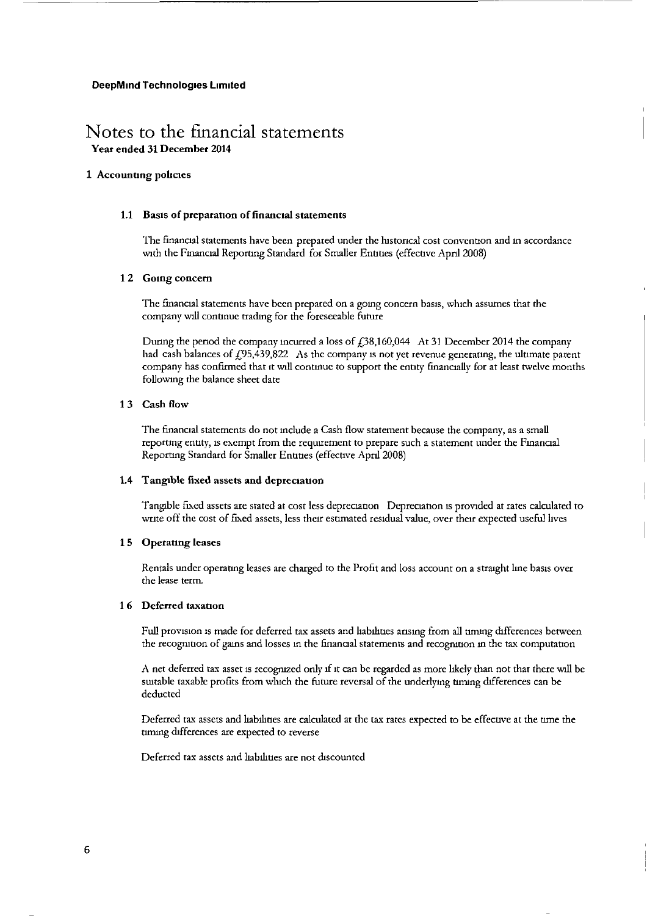# Notes to the financial statements Year ended 31 December 2014

#### 1 Accounting policies

# 1.1 Basis of preparation of financial statements

The financial statements have been prepared under the hustorical cost convention and in accordance with the Financial Reporting Standard for Smaller Entities (effective April 2008)

# 12 Going concern

The financial statements have been prepared on a going concern basis, which assumes that the companywill contunue trading for the foreseeable future

<u> sama salah sahiji désa di kacamatan di kacamatan di kacamatan di kacamatan di kacamatan di kacamatan di kacama</u>

During the period the company incurred a loss of  $f$ 38,160,044 At 31 December 2014 the company had cash balances of  $f$ 95,439,822 As the company is not yet revenue generating, the ultimate parent company has confirmed that it will continue to support the entity financially for at least twelve months following the balance sheet date

## 13 Cash flow

The financial statements do not include a Cash flow statement because the company, as a small reporting entity, is exempt from the requirement to prepare such a statement under the Financial Reporting Standard for Smaller Enuties (effecuve April 2008)

# 14 Tangible fixed assets and depreciation

Tangible fixed assets are stated at cost less depreciation Depreciation is provided at rates calculated to write off the cost of fixed assets, less their estimated residual value, over their expected useful lives

# 15 Operating leases

Rentals under operating leases are charged to the Profit and loss account on a straight line basis over the lease term.

## 16 Deferred taxation

Full provision 1s made for deferred tax assets and habiliues arising from all timing differences between the recognition of gains and losses in the financial statements and recognition in the tax computation

A net deferred tax asset is recognized only if it can be regarded as more likely than not that there will be suitable taxable profits from which the future reversal of the underlying tmung differences can be deducted

Deferred tax assets and liabilities are calculated at the tax rates expected to be effective at the tune the umung differences are expected to reverse

Deferred tax assets and liabiliues are not discounted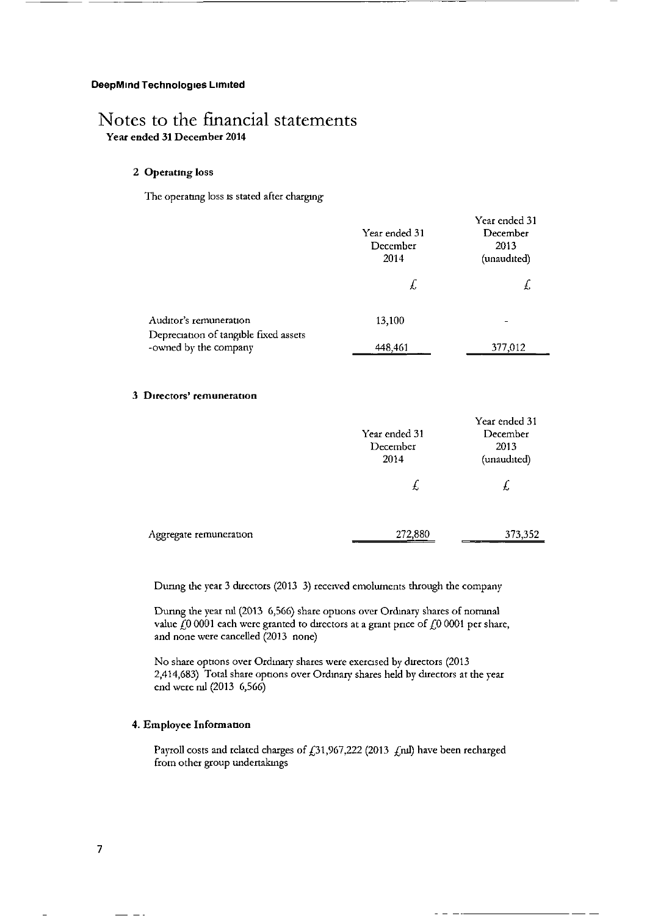# Notes to the financial statements Year ended 31 December 2014

<u> a shekara ta 1999 ya shekara ta 1999 ya shekara ta 1999 ya shekara ta 1999 haɗa ta 1999 ya shekara ta 1999 ha</u>

#### 2 Operating loss

| <b>Technologies Limited</b>                                    |                                   |                                                  |
|----------------------------------------------------------------|-----------------------------------|--------------------------------------------------|
| s to the financial statements<br>ded 31 December 2014          |                                   |                                                  |
| <b>Operating loss</b>                                          |                                   |                                                  |
| The operating loss is stated after charging                    |                                   |                                                  |
|                                                                | Year ended 31<br>December<br>2014 | Year ended 31<br>December<br>2013<br>(unaudited) |
|                                                                | £                                 | £.                                               |
| Auditor's remuneration                                         | 13,100                            |                                                  |
| Depreciation of tangible fixed assets<br>-owned by the company | 448,461                           | 377,012                                          |

#### 3 Directors' remuneration

|                        | Year ended 31<br>December<br>2014 | Year ended 31<br>December<br>2013<br>(unaudited) |
|------------------------|-----------------------------------|--------------------------------------------------|
|                        | Ł                                 | Ł                                                |
| Aggregate remuneration | 272,880                           | 373,352                                          |

During the year 3 directors (2013 3) received emoluments through the company

Duning the year mi (2013 6,566) share options over Ordinary shares of nominal value  $f(0\ 0001)$  each were granted to directors at a grant price of  $f(0\ 0001)$  per share, and none were cancelled (2013 none)

No share options over Ordinary shares were exercised by directors (2013) 2,414,683) Total share options over Ordinaryshares held by directors at the year end were nil (2013 6,566)

#### 4. Employee Information

Payroll costs and related charges of  $f$ 31,967,222 (2013  $f$ nil) have been recharged from other group undertakings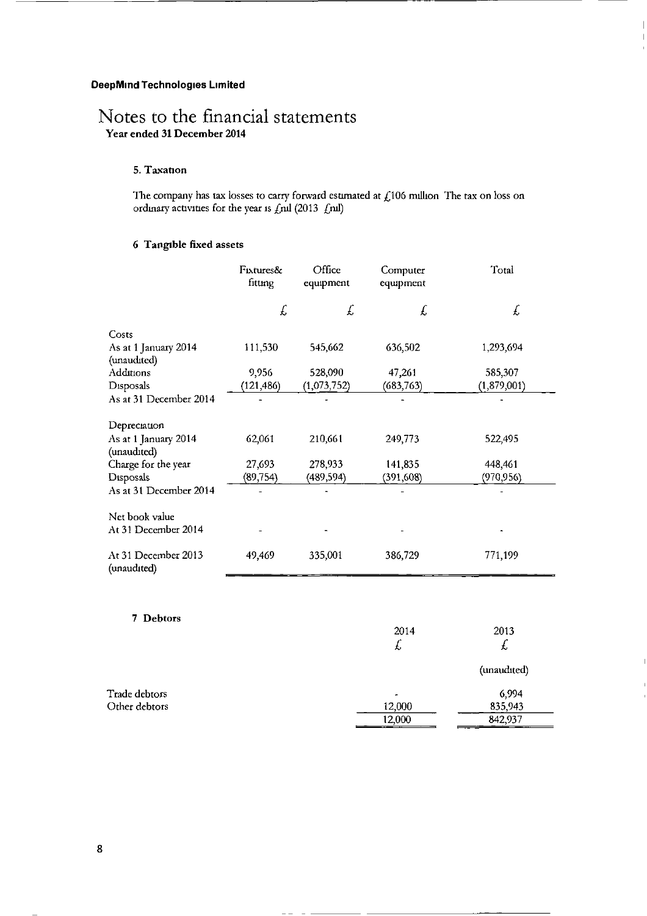# Notes to the financial statements Year ended 31 December 2014

#### 5. Taxation

<u> Alexandro de Alexandro de Alexandro de Alexandro de Alexandro de Alexandro de Alexandro de Alexandro de Alexa</u>

#### 6 Tangible fixed assets

| pMind Technologies Limited                                                                                                                                                                                                                                                                           |                      |                     |                       |                  |
|------------------------------------------------------------------------------------------------------------------------------------------------------------------------------------------------------------------------------------------------------------------------------------------------------|----------------------|---------------------|-----------------------|------------------|
|                                                                                                                                                                                                                                                                                                      |                      |                     |                       |                  |
|                                                                                                                                                                                                                                                                                                      |                      |                     |                       |                  |
|                                                                                                                                                                                                                                                                                                      |                      |                     |                       |                  |
| Votes to the financial statements                                                                                                                                                                                                                                                                    |                      |                     |                       |                  |
| Year ended 31 December 2014                                                                                                                                                                                                                                                                          |                      |                     |                       |                  |
| 5. Taxation                                                                                                                                                                                                                                                                                          |                      |                     |                       |                  |
| The company has tax losses to carry forward estimated at $\mathcal{L}106$ million The tax on loss on<br>ordinary activities for the year is $f_{\rm r}$ nil (2013 $f_{\rm r}$ nil)                                                                                                                   |                      |                     |                       |                  |
| 6 Tangible fixed assets                                                                                                                                                                                                                                                                              |                      |                     |                       |                  |
|                                                                                                                                                                                                                                                                                                      | Fixtures&<br>fitting | Office<br>equipment | Computer<br>equipment | Total            |
|                                                                                                                                                                                                                                                                                                      | £                    | £                   | £                     | £                |
| Costs<br>As at 1 January 2014                                                                                                                                                                                                                                                                        | 111,530              | 545,662             |                       | 1,293,694        |
| (unaudited)                                                                                                                                                                                                                                                                                          | 9,956                | 528,090             | 636,502<br>47,261     | 585,307          |
|                                                                                                                                                                                                                                                                                                      |                      |                     |                       |                  |
|                                                                                                                                                                                                                                                                                                      | (121, 486)           | (1,073,752)         | (683, 763)            | (1,879,001)      |
|                                                                                                                                                                                                                                                                                                      |                      |                     |                       |                  |
|                                                                                                                                                                                                                                                                                                      | 62,061               | 210,661             | 249,773               | 522,495          |
|                                                                                                                                                                                                                                                                                                      | 27,693               | 278,933             | 141,835               | 448,461          |
|                                                                                                                                                                                                                                                                                                      | (89, 754)            | (489, 594)          | (391, 608)            | (970, 956)       |
|                                                                                                                                                                                                                                                                                                      |                      |                     |                       |                  |
|                                                                                                                                                                                                                                                                                                      |                      |                     |                       |                  |
|                                                                                                                                                                                                                                                                                                      | 49,469               | 335,001             | 386,729               | 771,199          |
|                                                                                                                                                                                                                                                                                                      |                      |                     |                       |                  |
| 7 Debtors                                                                                                                                                                                                                                                                                            |                      |                     | 2014                  | 2013             |
|                                                                                                                                                                                                                                                                                                      |                      |                     | £                     | £                |
|                                                                                                                                                                                                                                                                                                      |                      |                     |                       | (unaudited)      |
| <b>Additions</b><br>Disposals<br>As at 31 December 2014<br>Depreciation<br>As at 1 January 2014<br>(unaudited)<br>Charge for the year<br><b>Disposals</b><br>As at 31 December 2014<br>Net book value<br>At 31 December 2014<br>At 31 December 2013<br>(unaudited)<br>Trade debtors<br>Other debtors |                      |                     | 12,000                | 6,994<br>835,943 |

#### 7 Debtors

|               | 2014           | 2013        |  |
|---------------|----------------|-------------|--|
|               | رتم            | 丈           |  |
|               |                | (unaudited) |  |
| Trade debtors | $\overline{ }$ | 6,994       |  |
| Other debtors | 12,000         | 835,943     |  |
|               | 12,000         | 842,937     |  |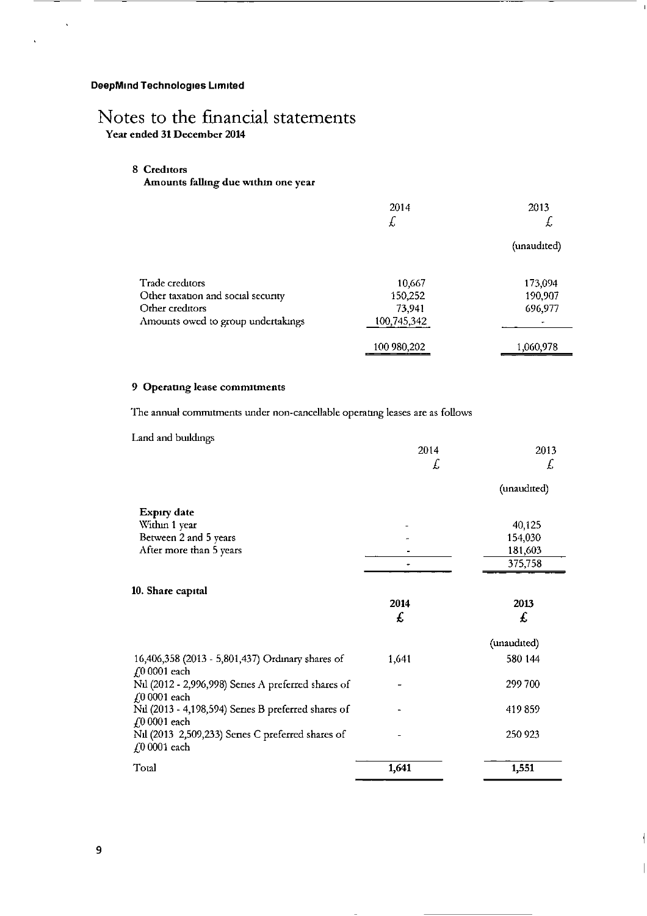$\ddot{\phantom{a}}$ 

# Notes to the financial statements

Year ended 31 December 2014

#### 8 Creditors

| <b>Creditors</b><br>Amounts falling due within one year                                                           |             |             |
|-------------------------------------------------------------------------------------------------------------------|-------------|-------------|
|                                                                                                                   | 2014        | 2013        |
|                                                                                                                   | £           | £           |
|                                                                                                                   |             | (unaudited) |
| Trade creditors                                                                                                   | 10,667      | 173,094     |
| Other taxation and social security                                                                                | 150,252     | 190,907     |
| Other creditors                                                                                                   | 73,941      | 696,977     |
| Amounts owed to group undertakings                                                                                | 100,745,342 |             |
|                                                                                                                   | 100 980,202 | 1,060,978   |
| <b>Operating lease commitments</b><br>he annual commitments under non-cancellable operating leases are as follows |             |             |
| and and buildings                                                                                                 |             |             |
|                                                                                                                   | 2014        | 2013        |
|                                                                                                                   | £           | Į,          |
|                                                                                                                   |             | (unaudited) |
| Expiry date                                                                                                       |             |             |
| Within 1 year                                                                                                     |             | 40,125      |
| Between 2 and 5 years                                                                                             |             | 154,030     |
| After more than 5 years                                                                                           |             | 181,603     |
|                                                                                                                   |             | 375,758     |

一个<del>一个人,一个人都是一个人的人,一个人都是一个人的人,</del>一个人都是一个人的人,就是一个人的人,就是一个人的人,就是一个人的人,就是一个人的人,就是一个人的人,

#### 9 Operating lease commitments

| 9 Operating lease commitments                                                |       |             |
|------------------------------------------------------------------------------|-------|-------------|
| The annual commitments under non-cancellable operating leases are as follows |       |             |
| Land and buildings                                                           |       |             |
|                                                                              | 2014  | 2013        |
|                                                                              | £     | £           |
|                                                                              |       | (unaudited) |
| Expiry date                                                                  |       |             |
| Within 1 year                                                                |       | 40,125      |
| Between 2 and 5 years                                                        |       | 154,030     |
| After more than 5 years                                                      |       | 181,603     |
|                                                                              |       | 375,758     |
| 10. Share capital                                                            |       |             |
|                                                                              | 2014  | 2013        |
|                                                                              | £     | £           |
|                                                                              |       | (unaudited) |
| 16,406,358 (2013 - 5,801,437) Ordinary shares of<br>$f00001$ each            | 1,641 | 580 144     |
| Nil (2012 - 2,996,998) Series A preferred shares of<br>$f00001$ each         |       | 299 700     |
| Nil (2013 - 4,198,594) Senes B preferred shares of<br>$f00001$ each          |       | 419859      |
| Nil (2013 2,509,233) Series C preferred shares of<br>$f00001$ each           |       | 250 923     |
| Total                                                                        | 1,641 | 1,551       |
|                                                                              |       |             |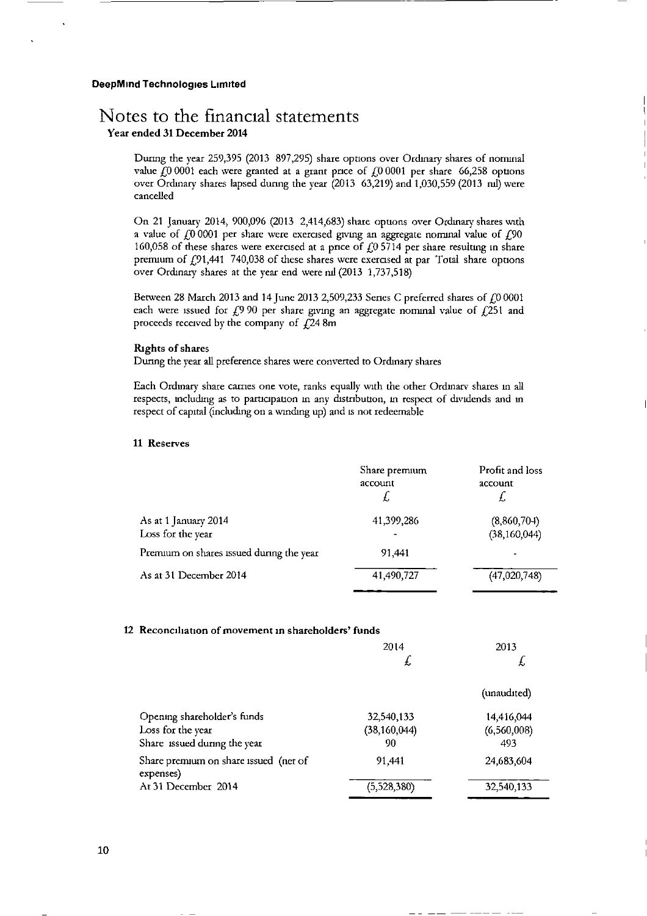# Notes to the financial statements Year ended 31 December 2014

During the year 259,395 (2013 897,295) share options over Ordinary shares of nominal value  $f(0.0001)$  each were granted at a grant price of  $f(0.0001)$  per share 66,258 options over Ordinary shares lapsed during the year (2013 63,219) and 1,030,559 (2013 nil) were cancelled

<u> 2002 - Andreas Andreas Andreas Andreas Andreas Andreas Andreas Andreas Andreas Andreas Andreas Andreas Andreas</u>

a da sensa da sensa de la construcción de la construcción de la construcción de la construcción de la construcc

#### Rights of shares

#### 11 Reserves

| value $f00001$ each were granted at a grant price of $f00001$ per share 66,258 options<br>over Ordinary shares lapsed during the year (2013 63,219) and 1,030,559 (2013 nil) were<br>:ancelled                                                                                                                                                                                                                                                 |                               |                                 |
|------------------------------------------------------------------------------------------------------------------------------------------------------------------------------------------------------------------------------------------------------------------------------------------------------------------------------------------------------------------------------------------------------------------------------------------------|-------------------------------|---------------------------------|
| On 21 January 2014, 900,096 (2013 2,414,683) share options over Ordinary shares with<br>a value of $f_0$ 0001 per share were exercised giving an aggregate nominal value of $f_0$ 90<br>160,058 of these shares were exercised at a price of $f_0$ 5714 per share resulting in share<br>oremium of £91,441 740,038 of these shares were exercised at par Total share options<br>over Ordinary shares at the year end were nil (2013 1,737,518) |                               |                                 |
| Between 28 March 2013 and 14 June 2013 2,509,233 Series C preferred shares of $\emph{} f0$ 0001<br>each were issued for $f_2$ 990 per share giving an aggregate nominal value of $f_2$ 251 and<br>proceeds received by the company of $\angle$ 24 8m                                                                                                                                                                                           |                               |                                 |
| Rights of shares<br>During the year all preference shares were converted to Ordinary shares                                                                                                                                                                                                                                                                                                                                                    |                               |                                 |
| Each Ordinary share carries one vote, ranks equally with the other Ordinary shares in all<br>espects, including as to participation in any distribution, in respect of dividends and in<br>espect of capital (including on a winding up) and is not redeemable                                                                                                                                                                                 |                               |                                 |
| 1 Reserves                                                                                                                                                                                                                                                                                                                                                                                                                                     |                               |                                 |
|                                                                                                                                                                                                                                                                                                                                                                                                                                                | Share premium<br>account<br>£ | Profit and loss<br>account<br>£ |
| As at 1 January 2014<br>Loss for the year                                                                                                                                                                                                                                                                                                                                                                                                      | 41,399,286                    | (8,860,704)<br>(38, 160, 044)   |
| Premium on shares issued during the year                                                                                                                                                                                                                                                                                                                                                                                                       | 91,441                        |                                 |
| As at 31 December 2014                                                                                                                                                                                                                                                                                                                                                                                                                         | 41,490,727                    | (47,020,748)                    |
|                                                                                                                                                                                                                                                                                                                                                                                                                                                |                               |                                 |

#### 12 Reconciliation of movement in shareholders' funds

| Each Ordinary share carries one vote, ranks equally with the other Ordinary shares in all<br>respects, including as to participation in any distribution, in respect of dividends and in<br>respect of capital (including on a winding up) and is not redeemable |                                    |                                  |
|------------------------------------------------------------------------------------------------------------------------------------------------------------------------------------------------------------------------------------------------------------------|------------------------------------|----------------------------------|
| 11 Reserves                                                                                                                                                                                                                                                      |                                    |                                  |
|                                                                                                                                                                                                                                                                  | Share premium<br>account<br>£      | Profit and loss<br>account<br>£  |
| As at 1 January 2014<br>Loss for the year                                                                                                                                                                                                                        | 41,399,286                         | (8,860,704)<br>(38, 160, 044)    |
| Premium on shares issued during the year                                                                                                                                                                                                                         | 91,441                             |                                  |
| As at 31 December 2014                                                                                                                                                                                                                                           | 41,490,727                         | (47,020,748)                     |
| Reconciliation of movement in shareholders' funds                                                                                                                                                                                                                | 2014<br>£                          | 2013<br>£                        |
|                                                                                                                                                                                                                                                                  |                                    | (unaudited)                      |
| Opening shareholder's funds<br>Loss for the year<br>Share issued during the year                                                                                                                                                                                 | 32,540,133<br>(38, 160, 044)<br>90 | 14,416,044<br>(6,560,008)<br>493 |
| Share premium on share issued (net of<br>expenses)                                                                                                                                                                                                               | 91,441                             | 24,683,604                       |
| At 31 December 2014                                                                                                                                                                                                                                              | (5,528,380)                        | 32,540,133                       |